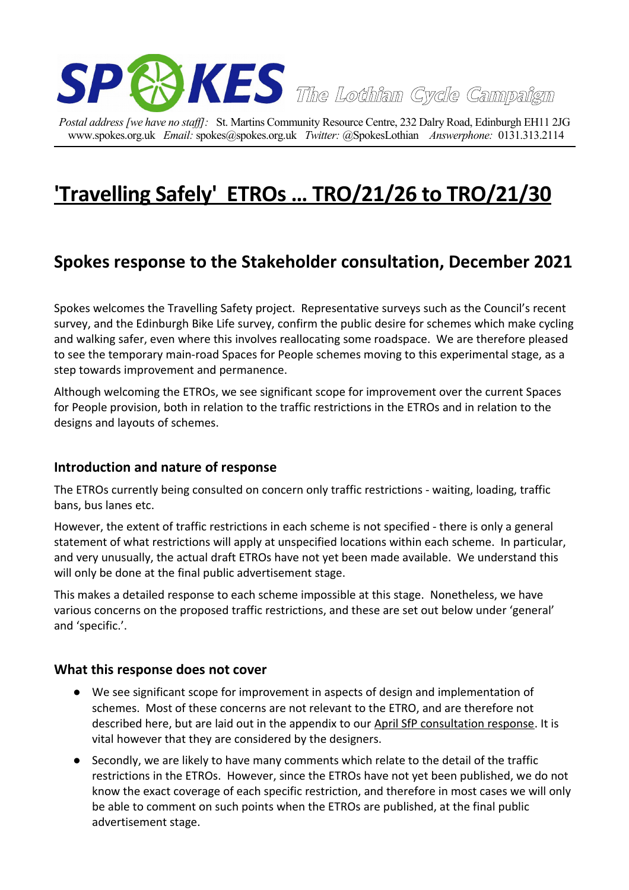

*Postal address [we have no staff]:* St. Martins Community Resource Centre, 232 Dalry Road, Edinburgh EH11 2JG www.spokes.org.uk *Email:* spokes@spokes.org.uk *Twitter:* @SpokesLothian *Answerphone:* 0131.313.2114

# **['Travelling Safely' ETROs … TRO/21/26 to TRO/21/30](https://www.edinburgh.gov.uk/downloads/download/14954/tro2126-to-tro2130---travelling-safely)**

# **Spokes response to the Stakeholder consultation, December 2021**

Spokes welcomes the Travelling Safety project. Representative surveys such as the Council's recent survey, and the Edinburgh Bike Life survey, confirm the public desire for schemes which make cycling and walking safer, even where this involves reallocating some roadspace. We are therefore pleased to see the temporary main-road Spaces for People schemes moving to this experimental stage, as a step towards improvement and permanence.

Although welcoming the ETROs, we see significant scope for improvement over the current Spaces for People provision, both in relation to the traffic restrictions in the ETROs and in relation to the designs and layouts of schemes.

#### **Introduction and nature of response**

The ETROs currently being consulted on concern only traffic restrictions - waiting, loading, traffic bans, bus lanes etc.

However, the extent of traffic restrictions in each scheme is not specified - there is only a general statement of what restrictions will apply at unspecified locations within each scheme. In particular, and very unusually, the actual draft ETROs have not yet been made available. We understand this will only be done at the final public advertisement stage.

This makes a detailed response to each scheme impossible at this stage. Nonetheless, we have various concerns on the proposed traffic restrictions, and these are set out below under 'general' and 'specific.'.

#### **What this response does not cover**

- We see significant scope for improvement in aspects of design and implementation of schemes. Most of these concerns are not relevant to the ETRO, and are therefore not described here, but are laid out in the appendix to our [April SfP consultation response.](http://www.spokes.org.uk/wp-content/uploads/2021/04/2104-Spokes-SfP-supplement-to-stakeholder-consultation.pdf) It is vital however that they are considered by the designers.
- Secondly, we are likely to have many comments which relate to the detail of the traffic restrictions in the ETROs. However, since the ETROs have not yet been published, we do not know the exact coverage of each specific restriction, and therefore in most cases we will only be able to comment on such points when the ETROs are published, at the final public advertisement stage.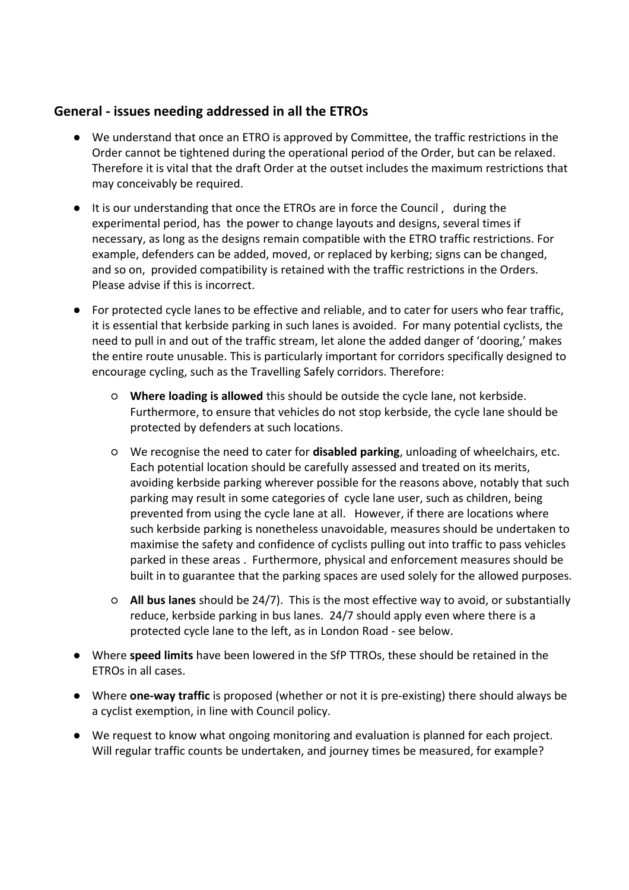## **General - issues needing addressed in all the ETROs**

- We understand that once an ETRO is approved by Committee, the traffic restrictions in the Order cannot be tightened during the operational period of the Order, but can be relaxed. Therefore it is vital that the draft Order at the outset includes the maximum restrictions that may conceivably be required.
- It is our understanding that once the ETROs are in force the Council , during the experimental period, has the power to change layouts and designs, several times if necessary, as long as the designs remain compatible with the ETRO traffic restrictions. For example, defenders can be added, moved, or replaced by kerbing; signs can be changed, and so on, provided compatibility is retained with the traffic restrictions in the Orders. Please advise if this is incorrect.
- For protected cycle lanes to be effective and reliable, and to cater for users who fear traffic, it is essential that kerbside parking in such lanes is avoided. For many potential cyclists, the need to pull in and out of the traffic stream, let alone the added danger of 'dooring,' makes the entire route unusable. This is particularly important for corridors specifically designed to encourage cycling, such as the Travelling Safely corridors. Therefore:
	- **Where loading is allowed** this should be outside the cycle lane, not kerbside. Furthermore, to ensure that vehicles do not stop kerbside, the cycle lane should be protected by defenders at such locations.
	- We recognise the need to cater for **disabled parking**, unloading of wheelchairs, etc. Each potential location should be carefully assessed and treated on its merits, avoiding kerbside parking wherever possible for the reasons above, notably that such parking may result in some categories of cycle lane user, such as children, being prevented from using the cycle lane at all. However, if there are locations where such kerbside parking is nonetheless unavoidable, measures should be undertaken to maximise the safety and confidence of cyclists pulling out into traffic to pass vehicles parked in these areas . Furthermore, physical and enforcement measures should be built in to guarantee that the parking spaces are used solely for the allowed purposes.
	- **All bus lanes** should be 24/7). This is the most effective way to avoid, or substantially reduce, kerbside parking in bus lanes. 24/7 should apply even where there is a protected cycle lane to the left, as in London Road - see below.
- Where **speed limits** have been lowered in the SfP TTROs, these should be retained in the ETROs in all cases.
- Where **one-way traffic** is proposed (whether or not it is pre-existing) there should always be a cyclist exemption, in line with Council policy.
- We request to know what ongoing monitoring and evaluation is planned for each project. Will regular traffic counts be undertaken, and journey times be measured, for example?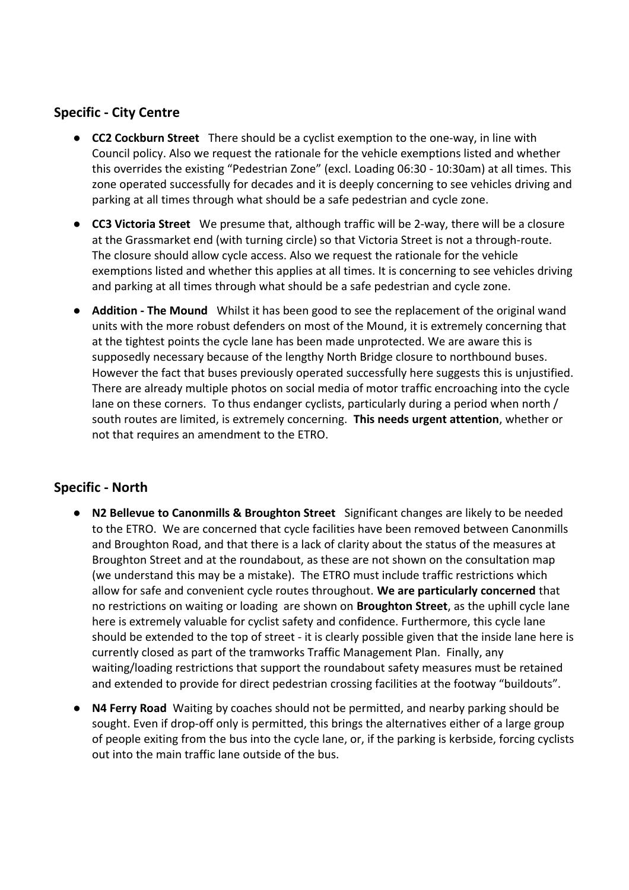## **Specific - City Centre**

- **CC2 Cockburn Street** There should be a cyclist exemption to the one-way, in line with Council policy. Also we request the rationale for the vehicle exemptions listed and whether this overrides the existing "Pedestrian Zone" (excl. Loading 06:30 - 10:30am) at all times. This zone operated successfully for decades and it is deeply concerning to see vehicles driving and parking at all times through what should be a safe pedestrian and cycle zone.
- **CC3 Victoria Street** We presume that, although traffic will be 2-way, there will be a closure at the Grassmarket end (with turning circle) so that Victoria Street is not a through-route. The closure should allow cycle access. Also we request the rationale for the vehicle exemptions listed and whether this applies at all times. It is concerning to see vehicles driving and parking at all times through what should be a safe pedestrian and cycle zone.
- **Addition The Mound** Whilst it has been good to see the replacement of the original wand units with the more robust defenders on most of the Mound, it is extremely concerning that at the tightest points the cycle lane has been made unprotected. We are aware this is supposedly necessary because of the lengthy North Bridge closure to northbound buses. However the fact that buses previously operated successfully here suggests this is unjustified. There are already multiple photos on social media of motor traffic encroaching into the cycle lane on these corners. To thus endanger cyclists, particularly during a period when north / south routes are limited, is extremely concerning. **This needs urgent attention**, whether or not that requires an amendment to the ETRO.

#### **Specific - North**

- **N2 Bellevue to Canonmills & Broughton Street** Significant changes are likely to be needed to the ETRO. We are concerned that cycle facilities have been removed between Canonmills and Broughton Road, and that there is a lack of clarity about the status of the measures at Broughton Street and at the roundabout, as these are not shown on the consultation map (we understand this may be a mistake). The ETRO must include traffic restrictions which allow for safe and convenient cycle routes throughout. **We are particularly concerned** that no restrictions on waiting or loading are shown on **Broughton Street**, as the uphill cycle lane here is extremely valuable for cyclist safety and confidence. Furthermore, this cycle lane should be extended to the top of street - it is clearly possible given that the inside lane here is currently closed as part of the tramworks Traffic Management Plan. Finally, any waiting/loading restrictions that support the roundabout safety measures must be retained and extended to provide for direct pedestrian crossing facilities at the footway "buildouts".
- **N4 Ferry Road** Waiting by coaches should not be permitted, and nearby parking should be sought. Even if drop-off only is permitted, this brings the alternatives either of a large group of people exiting from the bus into the cycle lane, or, if the parking is kerbside, forcing cyclists out into the main traffic lane outside of the bus.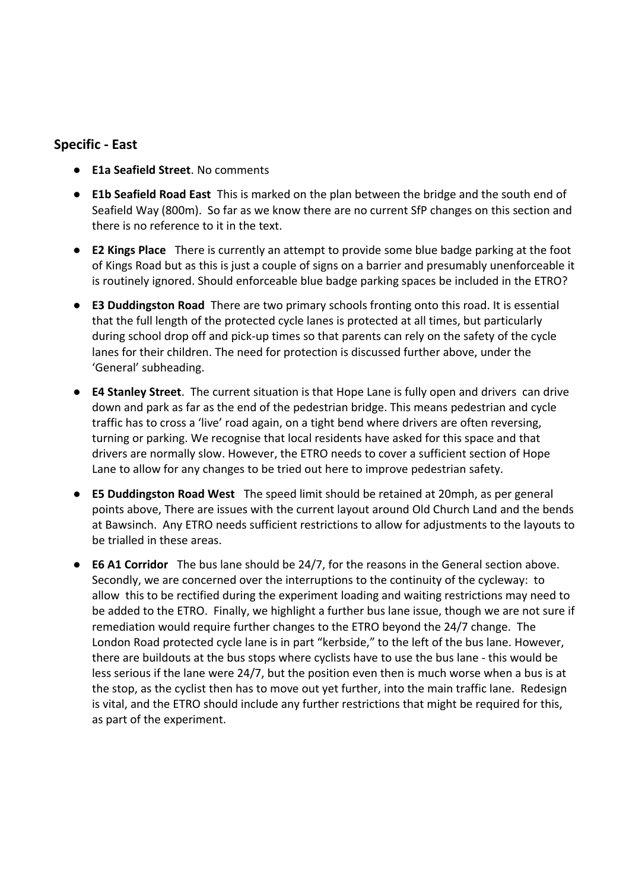#### **Specific - East**

- **E1a Seafield Street**. No comments
- **E1b Seafield Road East** This is marked on the plan between the bridge and the south end of Seafield Way (800m). So far as we know there are no current SfP changes on this section and there is no reference to it in the text.
- **E2 Kings Place** There is currently an attempt to provide some blue badge parking at the foot of Kings Road but as this is just a couple of signs on a barrier and presumably unenforceable it is routinely ignored. Should enforceable blue badge parking spaces be included in the ETRO?
- **E3 Duddingston Road** There are two primary schools fronting onto this road. It is essential that the full length of the protected cycle lanes is protected at all times, but particularly during school drop off and pick-up times so that parents can rely on the safety of the cycle lanes for their children. The need for protection is discussed further above, under the 'General' subheading.
- **E4 Stanley Street**. The current situation is that Hope Lane is fully open and drivers can drive down and park as far as the end of the pedestrian bridge. This means pedestrian and cycle traffic has to cross a 'live' road again, on a tight bend where drivers are often reversing, turning or parking. We recognise that local residents have asked for this space and that drivers are normally slow. However, the ETRO needs to cover a sufficient section of Hope Lane to allow for any changes to be tried out here to improve pedestrian safety.
- **E5 Duddingston Road West** The speed limit should be retained at 20mph, as per general points above, There are issues with the current layout around Old Church Land and the bends at Bawsinch. Any ETRO needs sufficient restrictions to allow for adjustments to the layouts to be trialled in these areas.
- **E6 A1 Corridor** The bus lane should be 24/7, for the reasons in the General section above. Secondly, we are concerned over the interruptions to the continuity of the cycleway: to allow this to be rectified during the experiment loading and waiting restrictions may need to be added to the ETRO. Finally, we highlight a further bus lane issue, though we are not sure if remediation would require further changes to the ETRO beyond the 24/7 change. The London Road protected cycle lane is in part "kerbside," to the left of the bus lane. However, there are buildouts at the bus stops where cyclists have to use the bus lane - this would be less serious if the lane were 24/7, but the position even then is much worse when a bus is at the stop, as the cyclist then has to move out yet further, into the main traffic lane. Redesign is vital, and the ETRO should include any further restrictions that might be required for this, as part of the experiment.